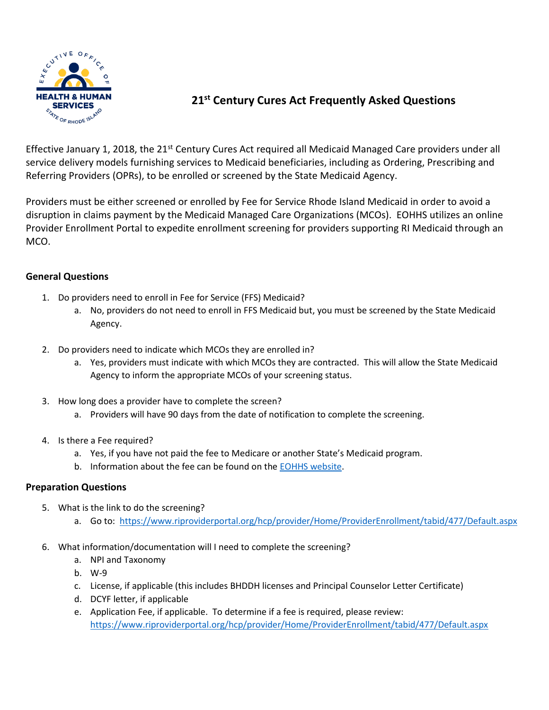

## **21st Century Cures Act Frequently Asked Questions**

Effective January 1, 2018, the 21<sup>st</sup> Century Cures Act required all Medicaid Managed Care providers under all service delivery models furnishing services to Medicaid beneficiaries, including as Ordering, Prescribing and Referring Providers (OPRs), to be enrolled or screened by the State Medicaid Agency.

Providers must be either screened or enrolled by Fee for Service Rhode Island Medicaid in order to avoid a disruption in claims payment by the Medicaid Managed Care Organizations (MCOs). EOHHS utilizes an online Provider Enrollment Portal to expedite enrollment screening for providers supporting RI Medicaid through an MCO.

## **General Questions**

- 1. Do providers need to enroll in Fee for Service (FFS) Medicaid?
	- a. No, providers do not need to enroll in FFS Medicaid but, you must be screened by the State Medicaid Agency.
- 2. Do providers need to indicate which MCOs they are enrolled in?
	- a. Yes, providers must indicate with which MCOs they are contracted. This will allow the State Medicaid Agency to inform the appropriate MCOs of your screening status.
- 3. How long does a provider have to complete the screen?
	- a. Providers will have 90 days from the date of notification to complete the screening.
- 4. Is there a Fee required?
	- a. Yes, if you have not paid the fee to Medicare or another State's Medicaid program.
	- b. Information about the fee can be found on the [EOHHS website.](https://eohhs.ri.gov/sites/g/files/xkgbur226/files/2021-11/provider-application-fees.pdf)

## **Preparation Questions**

- 5. What is the link to do the screening?
	- a. Go to:<https://www.riproviderportal.org/hcp/provider/Home/ProviderEnrollment/tabid/477/Default.aspx>
- 6. What information/documentation will I need to complete the screening?
	- a. NPI and Taxonomy
	- b. W-9
	- c. License, if applicable (this includes BHDDH licenses and Principal Counselor Letter Certificate)
	- d. DCYF letter, if applicable
	- e. Application Fee, if applicable. To determine if a fee is required, please review: <https://www.riproviderportal.org/hcp/provider/Home/ProviderEnrollment/tabid/477/Default.aspx>